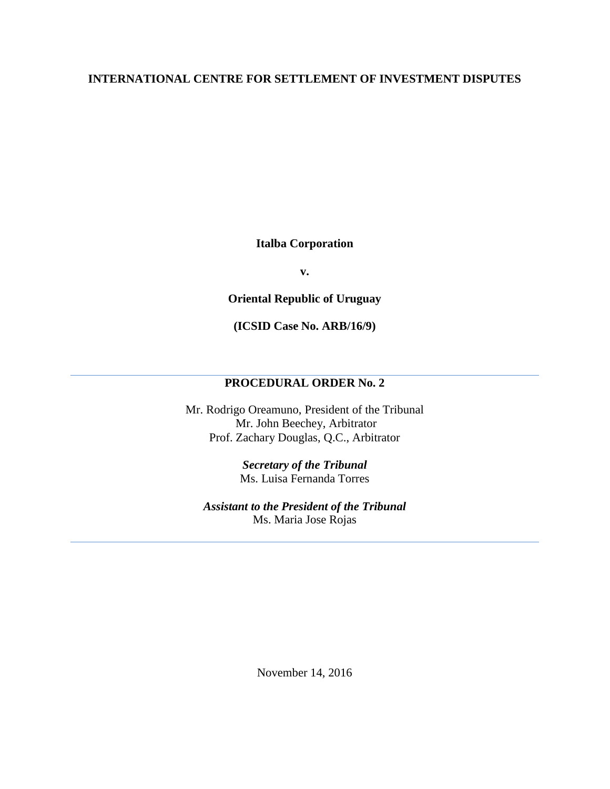## **INTERNATIONAL CENTRE FOR SETTLEMENT OF INVESTMENT DISPUTES**

**Italba Corporation** 

**v.** 

**Oriental Republic of Uruguay** 

**(ICSID Case No. ARB/16/9)**

## **PROCEDURAL ORDER No. 2**

Mr. Rodrigo Oreamuno, President of the Tribunal Mr. John Beechey, Arbitrator Prof. Zachary Douglas, Q.C., Arbitrator

> *Secretary of the Tribunal* Ms. Luisa Fernanda Torres

*Assistant to the President of the Tribunal* Ms. Maria Jose Rojas

November 14, 2016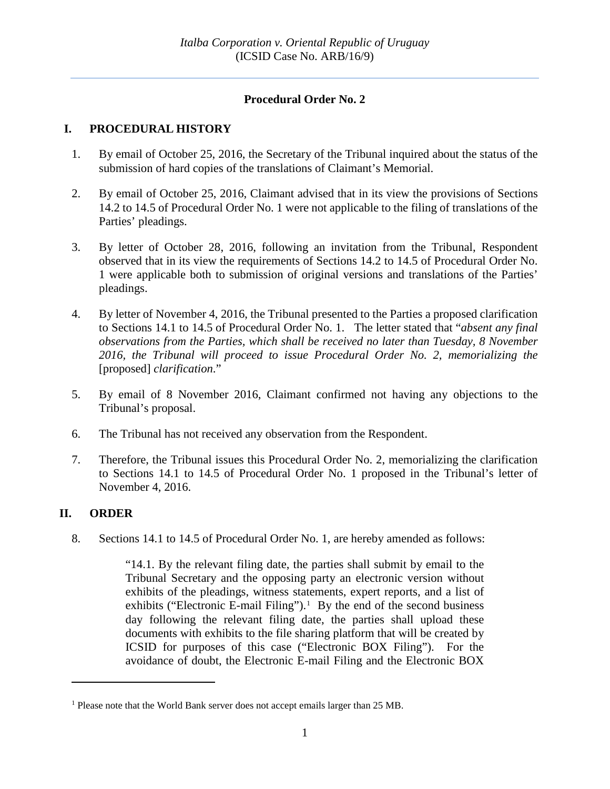# **Procedural Order No. 2**

### **I. PROCEDURAL HISTORY**

- 1. By email of October 25, 2016, the Secretary of the Tribunal inquired about the status of the submission of hard copies of the translations of Claimant's Memorial.
- 2. By email of October 25, 2016, Claimant advised that in its view the provisions of Sections 14.2 to 14.5 of Procedural Order No. 1 were not applicable to the filing of translations of the Parties' pleadings.
- 3. By letter of October 28, 2016, following an invitation from the Tribunal, Respondent observed that in its view the requirements of Sections 14.2 to 14.5 of Procedural Order No. 1 were applicable both to submission of original versions and translations of the Parties' pleadings.
- 4. By letter of November 4, 2016, the Tribunal presented to the Parties a proposed clarification to Sections 14.1 to 14.5 of Procedural Order No. 1. The letter stated that "*absent any final observations from the Parties, which shall be received no later than Tuesday, 8 November 2016, the Tribunal will proceed to issue Procedural Order No. 2, memorializing the* [proposed] *clarification*."
- 5. By email of 8 November 2016, Claimant confirmed not having any objections to the Tribunal's proposal.
- 6. The Tribunal has not received any observation from the Respondent.
- 7. Therefore, the Tribunal issues this Procedural Order No. 2, memorializing the clarification to Sections 14.1 to 14.5 of Procedural Order No. 1 proposed in the Tribunal's letter of November 4, 2016.

#### **II. ORDER**

 $\overline{a}$ 

8. Sections 14.1 to 14.5 of Procedural Order No. 1, are hereby amended as follows:

"14.1. By the relevant filing date, the parties shall submit by email to the Tribunal Secretary and the opposing party an electronic version without exhibits of the pleadings, witness statements, expert reports, and a list of exhibits ("Electronic E-mail Filing"). $<sup>1</sup>$  $<sup>1</sup>$  $<sup>1</sup>$  By the end of the second business</sup> day following the relevant filing date, the parties shall upload these documents with exhibits to the file sharing platform that will be created by ICSID for purposes of this case ("Electronic BOX Filing"). For the avoidance of doubt, the Electronic E-mail Filing and the Electronic BOX

<span id="page-1-0"></span><sup>&</sup>lt;sup>1</sup> Please note that the World Bank server does not accept emails larger than 25 MB.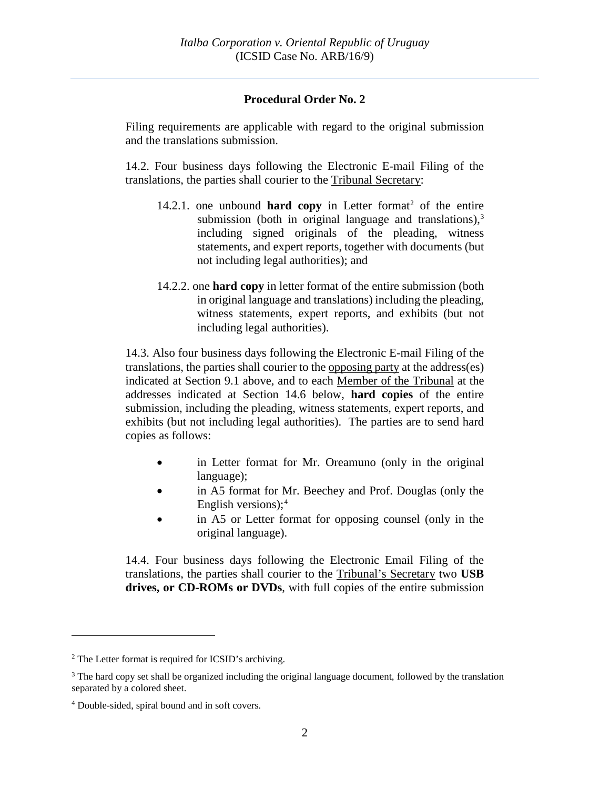### **Procedural Order No. 2**

Filing requirements are applicable with regard to the original submission and the translations submission.

14.2. Four business days following the Electronic E-mail Filing of the translations, the parties shall courier to the Tribunal Secretary:

- 14.[2](#page-2-0).1. one unbound **hard copy** in Letter format<sup>2</sup> of the entire submission (both in original language and translations),<sup>[3](#page-2-1)</sup> including signed originals of the pleading, witness statements, and expert reports, together with documents (but not including legal authorities); and
- 14.2.2. one **hard copy** in letter format of the entire submission (both in original language and translations) including the pleading, witness statements, expert reports, and exhibits (but not including legal authorities).

14.3. Also four business days following the Electronic E-mail Filing of the translations, the parties shall courier to the opposing party at the address(es) indicated at Section 9.1 above, and to each Member of the Tribunal at the addresses indicated at Section 14.6 below, **hard copies** of the entire submission, including the pleading, witness statements, expert reports, and exhibits (but not including legal authorities). The parties are to send hard copies as follows:

- in Letter format for Mr. Oreamuno (only in the original language);
- in A5 format for Mr. Beechey and Prof. Douglas (only the English versions);[4](#page-2-2)
- in A5 or Letter format for opposing counsel (only in the original language).

14.4. Four business days following the Electronic Email Filing of the translations, the parties shall courier to the Tribunal's Secretary two **USB drives, or CD-ROMs or DVDs**, with full copies of the entire submission

 $\overline{a}$ 

<span id="page-2-0"></span><sup>2</sup> The Letter format is required for ICSID's archiving.

<span id="page-2-1"></span><sup>&</sup>lt;sup>3</sup> The hard copy set shall be organized including the original language document, followed by the translation separated by a colored sheet.

<span id="page-2-2"></span><sup>4</sup> Double-sided, spiral bound and in soft covers.